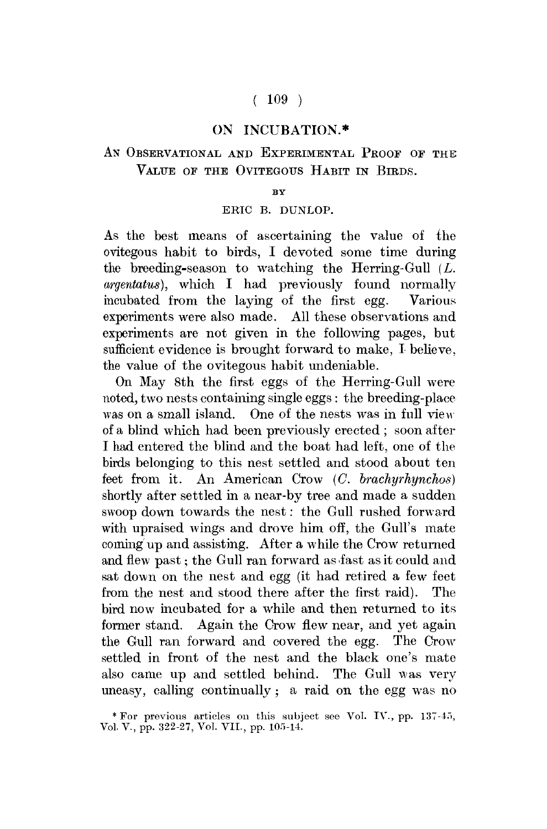# $(109)$

### ON INCUBATION.\*

# AN OBSERVATIONAL AND EXPERIMENTAL PROOF OF THE VALUE OF THE OVITEGOUS HABIT IN BIRDS.

#### **BY**

### ERIC B. DUNLOP.

As the best means of ascertaining the value of the ovitegous habit to birds, I devoted some time during the breeding-season to watching the Herring-Gull *(L. argentatus),* which I had previously found normally incubated from the laying of the first egg. Various experiments were also made. All these observations and experiments are not given in the following pages, but sufficient evidence is brought forward to make, I- believe, the value of the ovitegous habit undeniable.

On May 8th the first eggs of the Herring-Gull were noted, two nests containing single eggs: the breeding-place was on a small island. One of the nests was in full view of a blind which had been previously erected ; soon after I had entered the blind and the boat had left, one of the birds belonging to this nest settled and stood about ten feet from it. An American Crow *(C. brachyrhynchos)*  shortly after settled in a near-by tree and made a sudden swoop down towards the nest: the Gull rushed forward with upraised wings and drove him off, the Gull's mate coming up and assisting. After a while the Crow returned and flew past; the Gull ran forward as fast as it could and sat down on the nest and egg (it had retired a few feet from the nest and stood there after the first raid). The bird now incubated for a while and then returned to its former stand. Again the Crow flew near, and yet again the Gull ran forward and covered the egg. The Crow settled in front of the nest and the black one's mate also came up and settled behind. The Gull was very uneasy, calling continually ; a raid on the egg was no

<sup>\*</sup> For previous articles on this subject see Vol. IV., pp. 137-45, Vol. V., pp. 322-27, Vol. VII., pp. 105-14.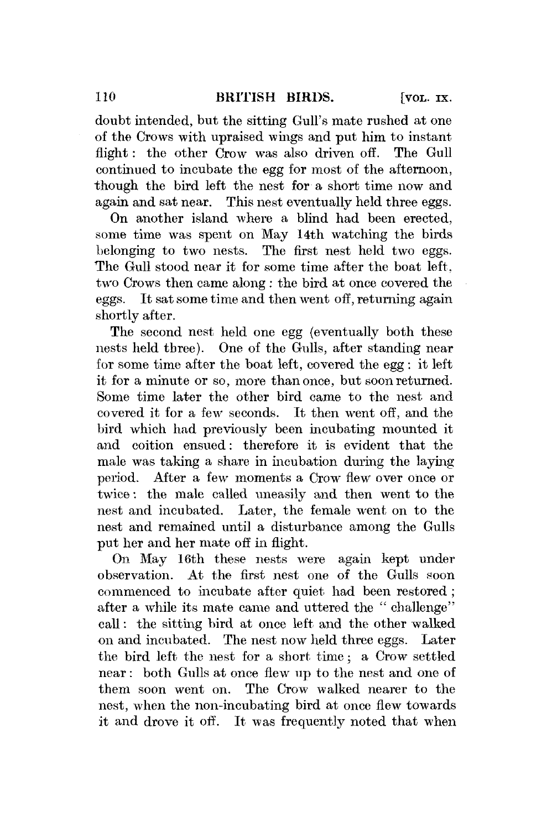doubt intended, but the sitting Gull's mate rushed at one of the Crows with upraised wings and put him to instant flight: the other Crow was also driven off. The Gull continued to incubate the egg for most of the afternoon, though the bird left the nest for a short time now and again and sat near. This nest eventually held three eggs.

On another island where a blind had been erected, some time was spent on May 14th watching the birds belonging to two nests. The first nest held two eggs. The Gull stood near it for some time after the boat left, two Crows then came along: the bird at once covered the eggs. It sat some time and then went off, returning again shortly after.

The second nest held one egg (eventually both these nests held three). One of the Gulls, after standing near for some time after the boat left, covered the egg : it left it for a minute or so, more than once, but soon returned. Some time later the other bird came to the nest and covered it for a few seconds. It then went off, and the bird which had previously been incubating mounted it and coition ensued: therefore it is evident that the male was taking a share in incubation during the laying period. After a few moments a Crow flew over once or twice: the male called uneasily and then went to the nest and incubated. Later, the female went on to the nest and remained until a disturbance among the Gulls put her and her mate off in flight.

On May 16th these nests were again kept under observation. At the first nest one of the Gulls soon commenced to incubate after quiet had been restored ; after a while its mate came and uttered the " challenge" call: the sitting bird at once left and the other walked on and incubated. The nest now held three eggs. Later the bird left the nest for a short time; a Crow settled near: both Gulls at once flew up to the nest and one of them soon went on. The Crow walked nearer to the nest, when the non-incubating bird at once flew towards it and drove it off. It was frequently noted that when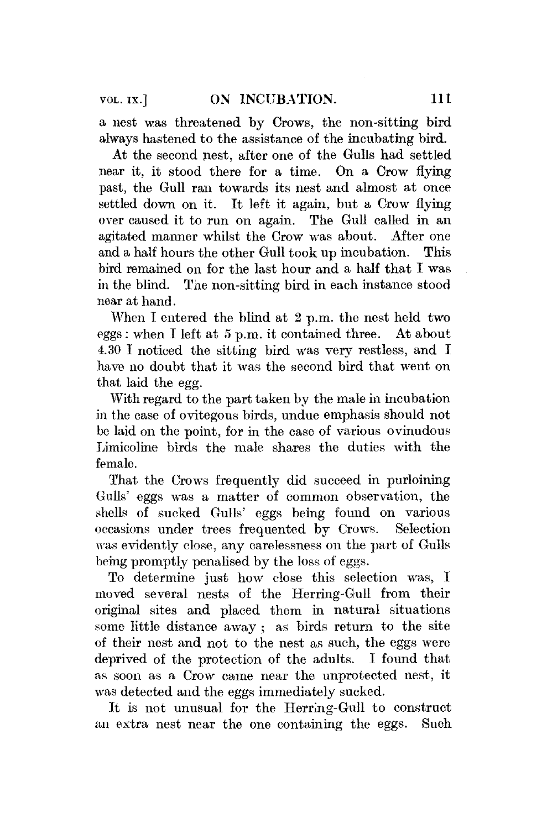a nest was threatened by Crows, the non-sitting bird always hastened to the assistance of the incubating bird.

At the second nest, after one of the Gulls had settled near it, it stood there for a time. On a Crow flying past, the Gull ran towards its nest and almost at once settled down on it. It left it again, but a Crow flying over caused it to run on again. The Gull called in an agitated manner whilst the Crow was about. After one and a half hours the other Gull took up incubation. This bird remained on for the last hour and a half that I was in the blind. The non-sitting bird in each instance stood near at hand.

When I entered the blind at 2 p.m. the nest held two eggs: when I left at 5 p.m. it contained three. At about 4.30 I noticed the sitting bird was very restless, and I have no doubt that it was the second bird that went on that laid the egg.

With regard to the part taken by the male in incubation in the case of ovitegous birds, undue emphasis should not be laid on the point, for in the case of various ovinudous Limicoline birds the male shares the duties with the female.

That the Crows frequently did succeed in purloining Gulls' eggs was a matter of common observation, the shells of sucked Gulls' eggs being found on various occasions under trees frequented by Crows. Selection was evidently close, any carelessness on the part of Gulls being promptly penalised by the loss of eggs.

To determine just how close this selection was, I moved several nests of the Herring-Gull from their original sites and placed them in natural situations some little distance away ; as birds return to the site of their nest and not to the nest as such, the eggs were deprived of the protection of the adults. I found that as soon as a Crow came near the unprotected nest, it was detected and the eggs immediately sucked.

It is not unusual for the Herring-Gull to construct an extra nest near the one containing the eggs. Such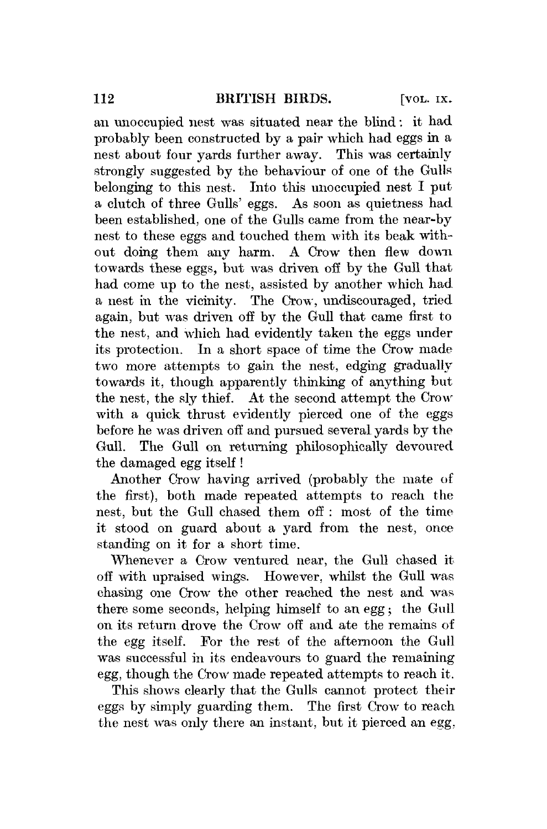an unoccupied nest was situated near the blind: it had probably been constructed by a pair which had eggs in a nest about four yards further away. This was certainly strongly suggested by the behaviour of one of the Gulls belonging to this nest. Into this unoccupied nest I put a clutch of three Gulls' eggs. As soon as quietness had been established, one of the Gulls came from the near-by nest to these eggs and touched them with its beak without doing them any harm. A Crow then flew down towards these eggs, but was driven off by the Gull that had come up to the nest, assisted by another which had a nest in the vicinity. The Crow, undiscouraged, tried again, but was driven off by the Gull that came first to the nest, and which had evidently taken the eggs under its protection. In a short space of time the Crow made two more attempts to gain the nest, edging gradually towards it, though apparently thinking of anything but the nest, the sly thief. At the second attempt the Crow with a quick thrust evidently pierced one of the eggs before he was driven off and pursued several yards by the Gull. The Gull on returning philosophically devoured the damaged egg itself !

Another Crow having arrived (probably the mate of the first), both made repeated attempts to reach the nest, but the Gull chased them off : most of the time it stood on guard about a yard from the nest, once standing on it for a short time.

Whenever a Crow ventured near, the Gull chased it off with upraised wings. However, whilst the Gull was chasing one Crow the other reached the nest and was there some seconds, helping himself to an egg; the Gull on its return drove the Crow off and ate the remains of the egg itself. For the rest of the afternoon the Gull was successful in its endeavours to guard the remaining egg, though the Crow made repeated attempts to reach it.

This shows clearly that the Gulls cannot protect their eggs by simply guarding them. The first Crow to reach the nest was only there an instant, but it pierced an egg.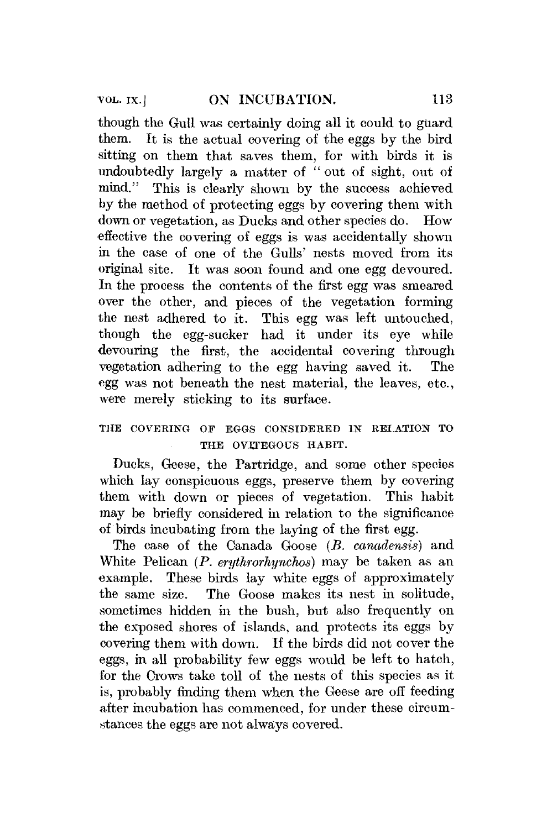though the Gull was certainly doing all it could to guard them. It is the actual covering of the eggs by the bird sitting on them that saves them, for with birds it is undoubtedly largely a matter of " out of sight, out of mind." This is clearly shown by the success achieved by the method of protecting eggs by covering them with down or vegetation, as Ducks and other species do. How effective the covering of eggs is was accidentally shown in the case of one of the Gulls' nests moved from its original site. It was soon found and one egg devoured. In the process the contents of the first egg was smeared over the other, and pieces of the vegetation forming the nest adhered to it. This egg was left untouched, though the egg-sucker had it under its eye while devouring the first, the accidental covering through vegetation adhering to the egg having saved it. The egg was not beneath the nest material, the leaves, etc., were merely sticking to its surface.

# THE COVERING OF EGGS CONSIDERED IN RELATION TO THE OVITEGOUS HABIT.

Ducks, Geese, the Partridge, and some other species which lay conspicuous eggs, preserve them by covering them with down or pieces of vegetation. This habit may be briefly considered in relation to the significance of birds incubating from the laying of the first egg.

The case of the Canada Goose *(B. canadensis)* and White Pelican *(P. erythrorhynchos)* may be taken as an example. These birds lay white eggs of approximately the same size. The Goose makes its nest in solitude, sometimes hidden in the bush, but also frequently on the exposed shores of islands, and protects its eggs by covering them with down. If the birds did not cover the eggs, in all probability few eggs would be left to hatch, for the Crows take toll of the nests of this species as it is, probably finding them when the Geese are off feeding after incubation has commenced, for under these circumstances the eggs are not always covered.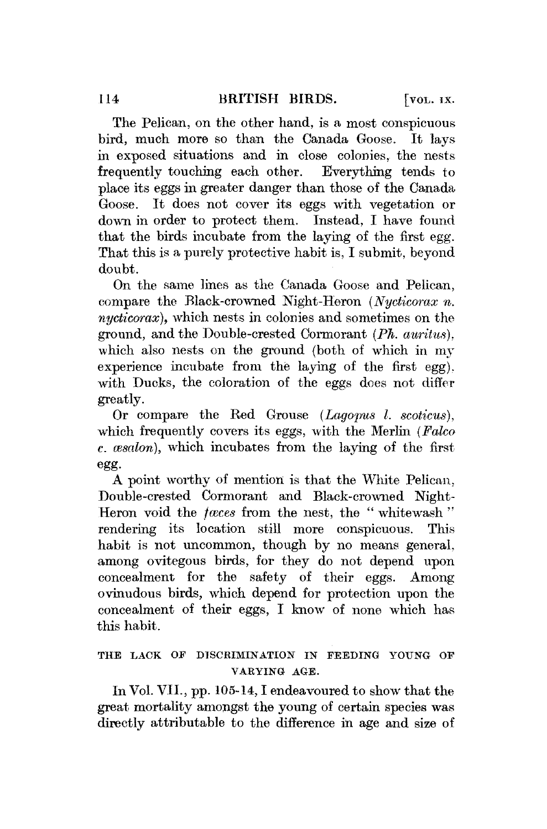The Pelican, on the other hand, is a most conspicuous bird, much more so than the Canada Goose. It lays in exposed situations and in close colonies, the nests frequently touching each other. Everything tends to place its eggs in greater danger than those of the Canada Goose. It does not cover its eggs with vegetation or down in order to protect them. Instead, I have found that the birds incubate from the laying of the first egg. That this is a purely protective habit is, I submit, beyond doubt.

On the same lines as the Canada Goose and Pelican, compare the Black-crowned Mght-Heron *(Nycticorax n. nycticorax),* which nests in colonies and sometimes on the ground, and the Double-crested Cormorant *(Ph. cmritus),*  which also nests on the ground (both of which in my experience incubate from the laying of the first egg), with Ducks, the coloration of the eggs does not differ greatly.

Or compare the Red Grouse *(Lagopus I. scotieus),*  which frequently covers its eggs, with the Merlin *(Falco c. msakm),* which incubates from the laying of the first egg-

A point worthy of mention is that the White Pelican, Double-crested Cormorant and Black-crowned Mght-Heron void the *faces* from the nest, the "whitewash" rendering its location still more conspicuous. This habit is not uncommon, though by no means general, among ovitegous birds, for they do not depend upon concealment for the safety of their eggs. Among ovinudous birds, which depend for protection upon the concealment of their eggs, I know of none which has this habit.

### THE LACK OF DISCRIMINATION IN FEEDING YOUNG OF VARYING AGE.

In Vol. VII., pp. 105-14, I endeavoured to show that the great mortality amongst the young of certain species was directly attributable to the difference in age and size of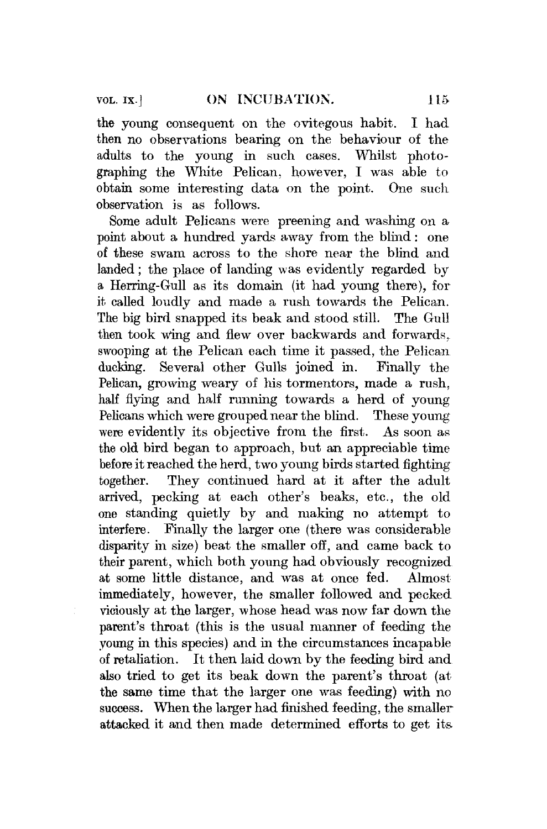the young consequent on the ovitegous habit. I had then no observations bearing on the behaviour of the adults to the young in such eases. Whilst photographing the White Pelican, however, I was able to obtain some interesting data on the point. One such observation is as follows.

Some adult Pelicans were preening and washing on a point about a hundred yards away from the blind: one of these swam across to the shore near the blind and landed; the place of landing was evidently regarded by a Herring-Gull as its domain (it had young there), for it called loudly and made a rush towards the Pelican. The big bird snapped its beak and stood still. The Gull then took wing and flew over backwards and forwards, swooping at the Pelican each time it passed, the Pelican ducking. Several other Gulls joined in. Finally the Pelican, growing weary of his tormentors, made a rush, half flying and half running towards a herd of young Pelicans which were grouped near the blind. These young were evidently its objective from the first. As soon as the old bird began to approach, but an appreciable time before it reached the herd, two young birds started fighting together. They continued hard at it after the adult arrived, peeking at each other's beaks, etc., the old one standing quietly by and making no attempt to interfere. Finally the larger one (there was considerable disparity in size) beat the smaller off, and came back to their parent, which both young had obviously recognized at some little distance, and was at once fed. Almost immediately, however, the smaller followed and pecked viciously at the larger, whose head was now far down the parent's throat (this is the usual manner of feeding the young in this species) and in the circumstances incapable of retaliation. It then laid down by the feeding bird and also tried to get its beak down the parent's throat (at the same time that the larger one was feeding) with no success. When the larger had finished feeding, the smaller attacked it and then made determined efforts to get its.